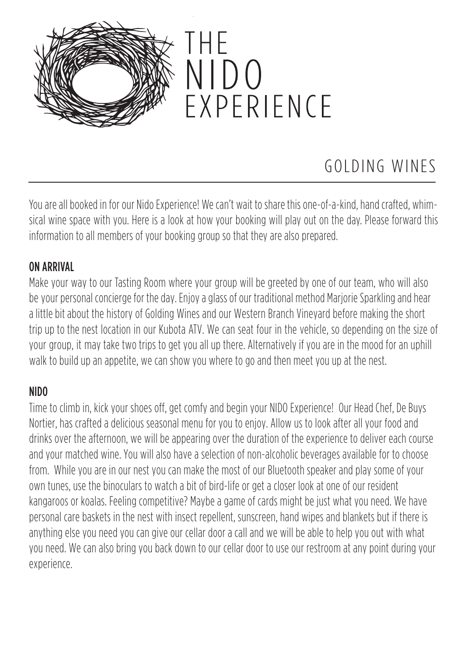

### GOLDING WINES

You are all booked in for our Nido Experience! We can't wait to share this one-of-a-kind, hand crafted, whimsical wine space with you. Here is a look at how your booking will play out on the day. Please forward this information to all members of your booking group so that they are also prepared.

#### ON ARRIVAL

Make your way to our Tasting Room where your group will be greeted by one of our team, who will also be your personal concierge for the day. Enjoy a glass of our traditional method Marjorie Sparkling and hear a littlebit about the history of Golding Wines and our Western Branch Vineyard before making the short trip up to the nest location in our Kubota ATV. We can seat four in the vehicle, so depending on the size of your group, it may take two trips to get you all up there. Alternatively if you are in the mood for an uphill walk to build up an appetite, we can show you where to go and then meet you up at the nest.

#### NIDO

Time to climb in, kick your shoes off, get comfy and begin your NIDO Experience! Our Head Chef, De Buys Nortier, has crafted a delicious seasonal menu for you to enjoy. Allow us to look after all your food and drinks over the afternoon, we will be appearing over the duration of the experience to deliver each course and your matched wine. You will also have a selection of non-alcoholic beverages available for to choose from. While you are in our nest you can make the most of our Bluetooth speaker and play some of your own tunes, use the binoculars to watch a bit of bird-life or get a closer look at one of our resident kangaroos or koalas. Feeling competitive? Maybe a game of cards might be just what you need. We have personal care baskets in the nest with insect repellent, sunscreen, hand wipes and blankets but if there is anything else you need you can give our cellar door a call and we will be able to help you out with what you need. We can also bring you back down to our cellar door to use our restroom at any point during your experience.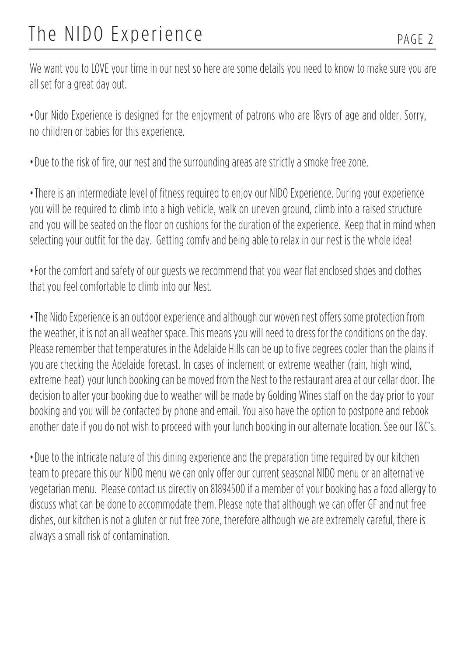# The NIDO Experience PAGE 2

We want you to LOVE your time in our nest so here are some details you need to know to make sure you are all set for a great day out.

• Our Nido Experience is designed for the enjoyment of patrons who are 18yrs of age and older. Sorry, no children or babies for this experience.

• Due to the risk of fire, our nest and the surrounding areas are strictly a smoke free zone.

• There is an intermediate level of fitness required to enjoy our NIDO Experience. During your experience you will be required to climb into a high vehicle, walk on uneven ground, climb into a raised structure and you will be seated on the floor on cushions for the duration of the experience. Keep that in mind when selecting your outfit for the day. Getting comfy and being able to relax in our nest is the whole idea!

• For the comfort and safety of our guests we recommend that you wear flat enclosed shoes and clothes that you feel comfortable to climb into our Nest.

• The Nido Experience is an outdoor experience and although our woven nest offers some protection from the weather, it is not an all weather space. This means you will need to dress for the conditions on the day. Please remember that temperatures in the Adelaide Hills can be up to five degrees cooler than the plains if you are checking the Adelaide forecast. In cases of inclement or extreme weather (rain, high wind, extreme heat) your lunch booking can be moved from the Nest to the restaurant area at our cellar door. The decision to alter your booking due to weather will be made by Golding Wines staff on the day prior to your booking and you will be contacted by phone and email. You also have the option to postpone and rebook another date if you do not wish to proceed with your lunch booking in our alternate location. See our T&C's.

• Due to the intricate nature of this dining experience and the preparation time required by our kitchen team to prepare this our NIDO menu we can only offer our current seasonal NIDO menu or an alternative vegetarian menu. Please contact us directly on 81894500 if a member of your booking has a food allergy to discuss what can be done to accommodate them. Please note that although we can offer GF and nut free dishes, our kitchen is not a gluten or nut free zone, therefore although we are extremely careful, there is always a small risk of contamination.